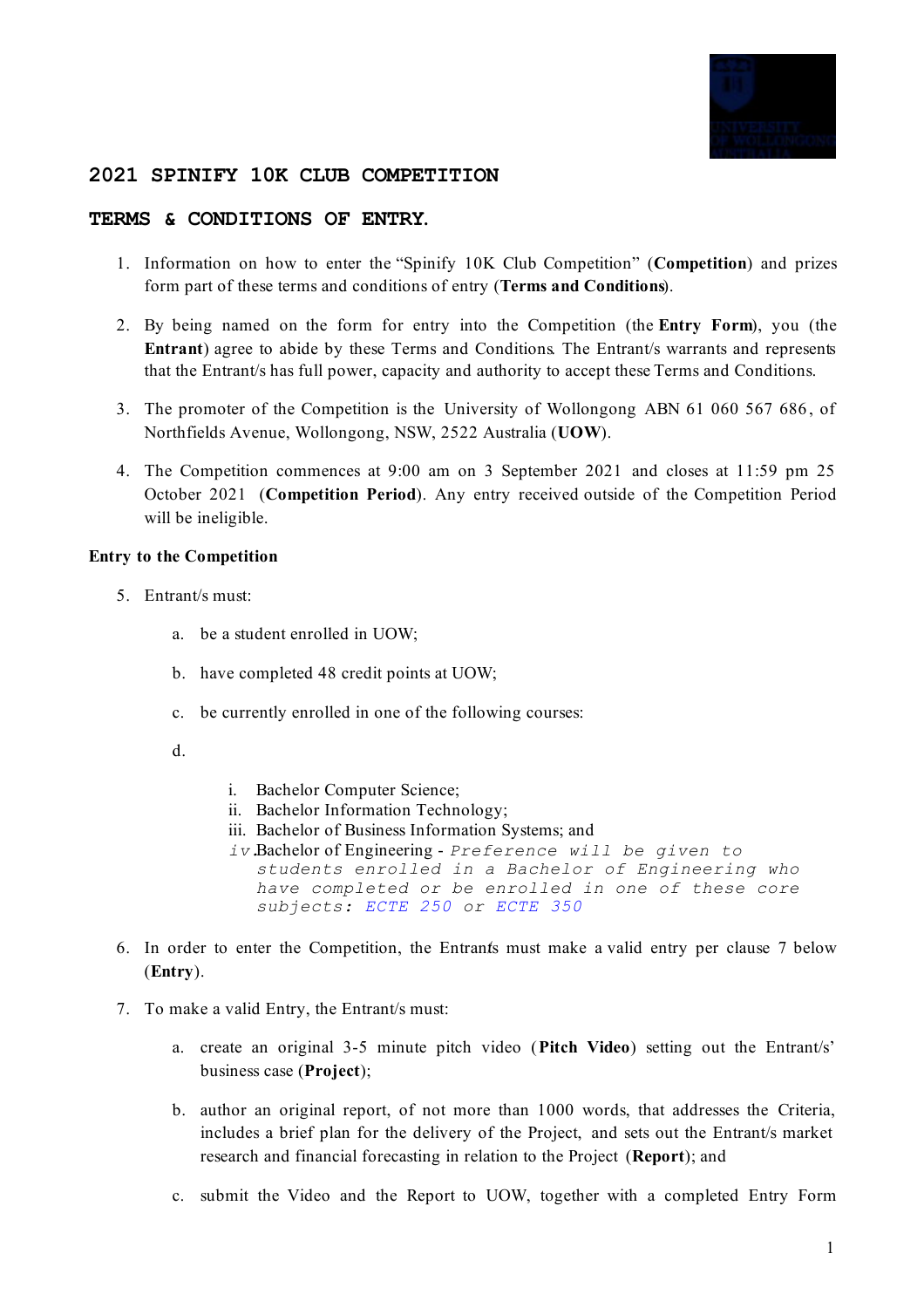

# **2021 SPINIFY 10K CLUB COMPETITION**

### **TERMS & CONDITIONS OF ENTRY.**

- 1. Information on how to enter the "Spinify 10K Club Competition" (**Competition**) and prizes form part of these terms and conditions of entry (**Terms and Conditions**).
- 2. By being named on the form for entry into the Competition (the **Entry Form**), you (the **Entrant**) agree to abide by these Terms and Conditions. The Entrant/s warrants and represents that the Entrant/s has full power, capacity and authority to accept these Terms and Conditions.
- 3. The promoter of the Competition is the University of Wollongong ABN 61 060 567 686 , of Northfields Avenue, Wollongong, NSW, 2522 Australia (**UOW**).
- 4. The Competition commences at 9:00 am on 3 September 2021 and closes at 11:59 pm 25 October 2021 (**Competition Period**). Any entry received outside of the Competition Period will be ineligible.

#### **Entry to the Competition**

- 5. Entrant/s must:
	- a. be a student enrolled in UOW;
	- b. have completed 48 credit points at UOW;
	- c. be currently enrolled in one of the following courses:
	- d.
- i. Bachelor Computer Science;
- ii. Bachelor Information Technology;
- iii. Bachelor of Business Information Systems; and
- *iv.*Bachelor of Engineering *Preference will be given to students enrolled in a Bachelor of Engineering who have completed or be enrolled in one of these core subjects: ECTE 250 or ECTE 350*
- 6. In order to enter the Competition, the Entrants must make a valid entry per clause 7 below (**Entry**).
- 7. To make a valid Entry, the Entrant/s must:
	- a. create an original 3-5 minute pitch video (**Pitch Video**) setting out the Entrant/s' business case (**Project**);
	- b. author an original report, of not more than 1000 words, that addresses the Criteria, includes a brief plan for the delivery of the Project, and sets out the Entrant/s market research and financial forecasting in relation to the Project (**Report**); and
	- c. submit the Video and the Report to UOW, together with a completed Entry Form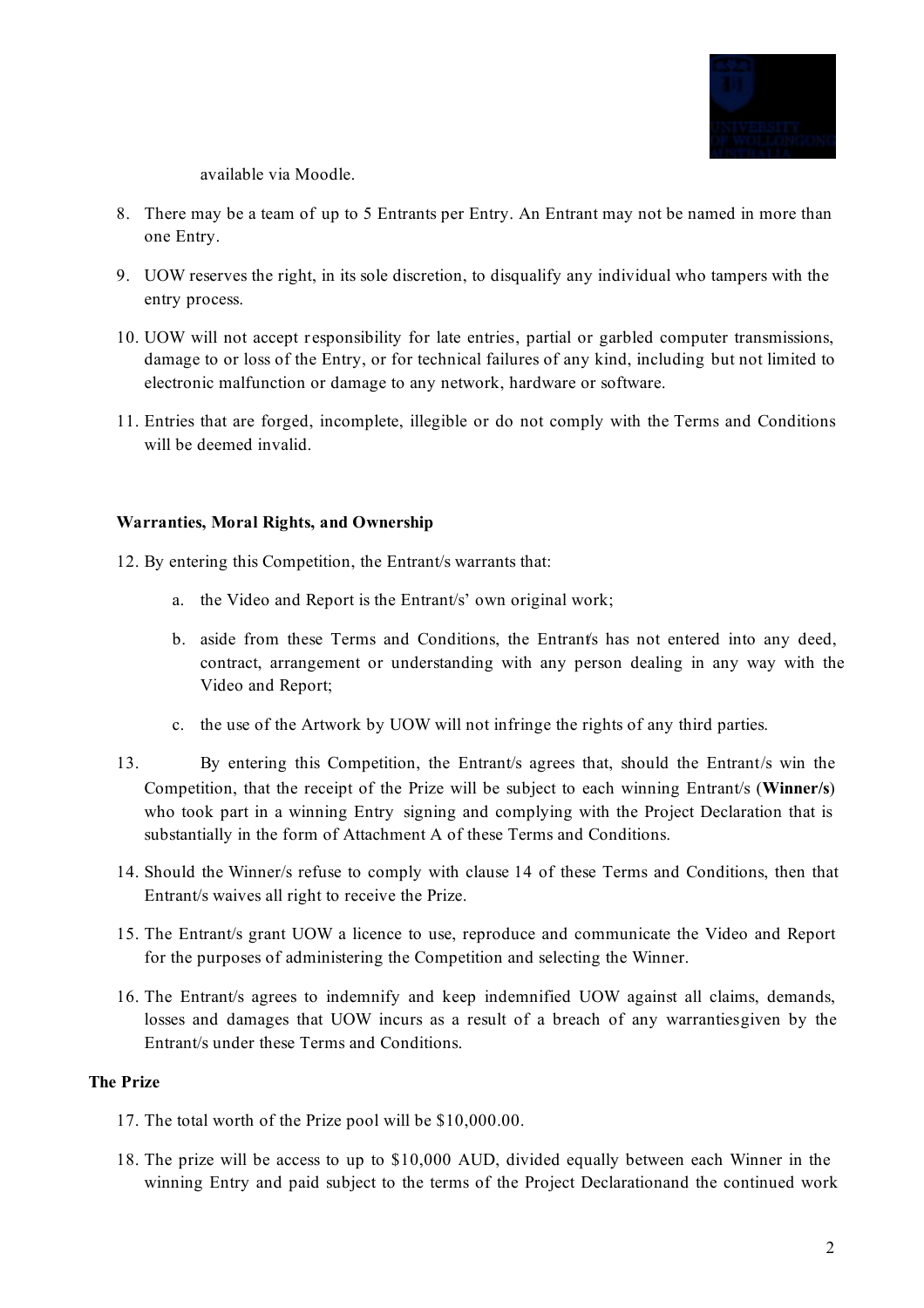

available via Moodle.

- 8. There may be a team of up to 5 Entrants per Entry. An Entrant may not be named in more than one Entry.
- 9. UOW reserves the right, in its sole discretion, to disqualify any individual who tampers with the entry process.
- 10. UOW will not accept r esponsibility for late entries, partial or garbled computer transmissions, damage to or loss of the Entry, or for technical failures of any kind, including but not limited to electronic malfunction or damage to any network, hardware or software.
- 11. Entries that are forged, incomplete, illegible or do not comply with the Terms and Conditions will be deemed invalid.

#### **Warranties, Moral Rights, and Ownership**

- 12. By entering this Competition, the Entrant/s warrants that:
	- a. the Video and Report is the Entrant/s' own original work;
	- b. aside from these Terms and Conditions, the Entrant's has not entered into any deed, contract, arrangement or understanding with any person dealing in any way with the Video and Report;
	- c. the use of the Artwork by UOW will not infringe the rights of any third parties.
- 13. By entering this Competition, the Entrant/s agrees that, should the Entrant/s win the Competition, that the receipt of the Prize will be subject to each winning Entrant/s (**Winner/s**) who took part in a winning Entry signing and complying with the Project Declaration that is substantially in the form of Attachment A of these Terms and Conditions.
- 14. Should the Winner/s refuse to comply with clause 14 of these Terms and Conditions, then that Entrant/s waives all right to receive the Prize.
- 15. The Entrant/s grant UOW a licence to use, reproduce and communicate the Video and Report for the purposes of administering the Competition and selecting the Winner.
- 16. The Entrant/s agrees to indemnify and keep indemnified UOW against all claims, demands, losses and damages that UOW incurs as a result of a breach of any warrantiesgiven by the Entrant/s under these Terms and Conditions.

### **The Prize**

- 17. The total worth of the Prize pool will be \$10,000.00.
- 18. The prize will be access to up to \$10,000 AUD, divided equally between each Winner in the winning Entry and paid subject to the terms of the Project Declarationand the continued work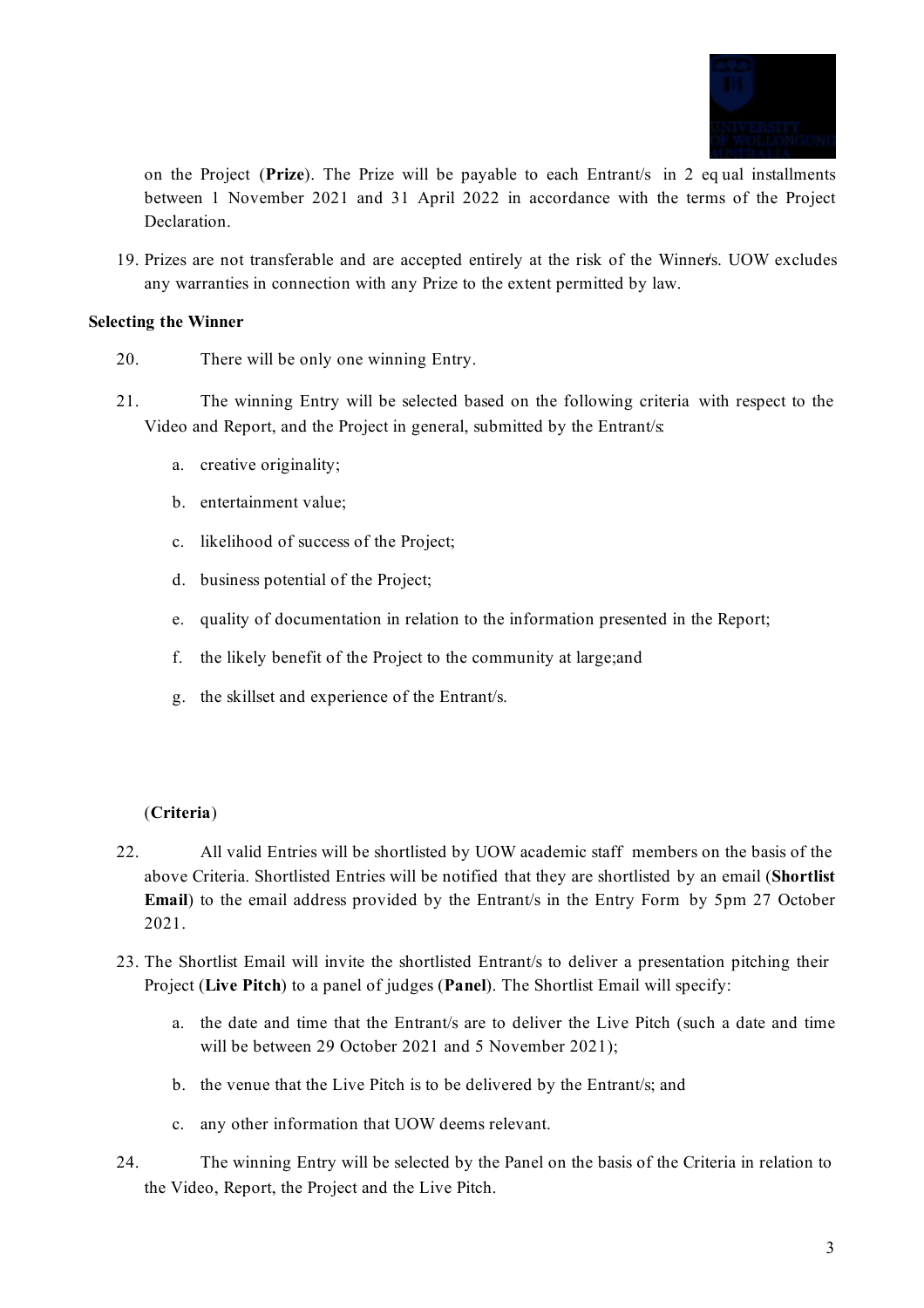

on the Project (**Prize**). The Prize will be payable to each Entrant/s in 2 eq ual installments between 1 November 2021 and 31 April 2022 in accordance with the terms of the Project Declaration.

19. Prizes are not transferable and are accepted entirely at the risk of the Winner/s. UOW excludes any warranties in connection with any Prize to the extent permitted by law.

### **Selecting the Winner**

- 20. There will be only one winning Entry.
- 21. The winning Entry will be selected based on the following criteria with respect to the Video and Report, and the Project in general, submitted by the Entrant/s:
	- a. creative originality;
	- b. entertainment value;
	- c. likelihood of success of the Project;
	- d. business potential of the Project;
	- e. quality of documentation in relation to the information presented in the Report;
	- f. the likely benefit of the Project to the community at large;and
	- g. the skillset and experience of the Entrant/s.

# (**Criteria**)

- 22. All valid Entries will be shortlisted by UOW academic staff members on the basis of the above Criteria. Shortlisted Entries will be notified that they are shortlisted by an email (**Shortlist Email**) to the email address provided by the Entrant/s in the Entry Form by 5pm 27 October 2021.
- 23. The Shortlist Email will invite the shortlisted Entrant/s to deliver a presentation pitching their Project (**Live Pitch**) to a panel of judges (**Panel**). The Shortlist Email will specify:
	- a. the date and time that the Entrant/s are to deliver the Live Pitch (such a date and time will be between 29 October 2021 and 5 November 2021);
	- b. the venue that the Live Pitch is to be delivered by the Entrant/s; and
	- c. any other information that UOW deems relevant.
- 24. The winning Entry will be selected by the Panel on the basis of the Criteria in relation to the Video, Report, the Project and the Live Pitch.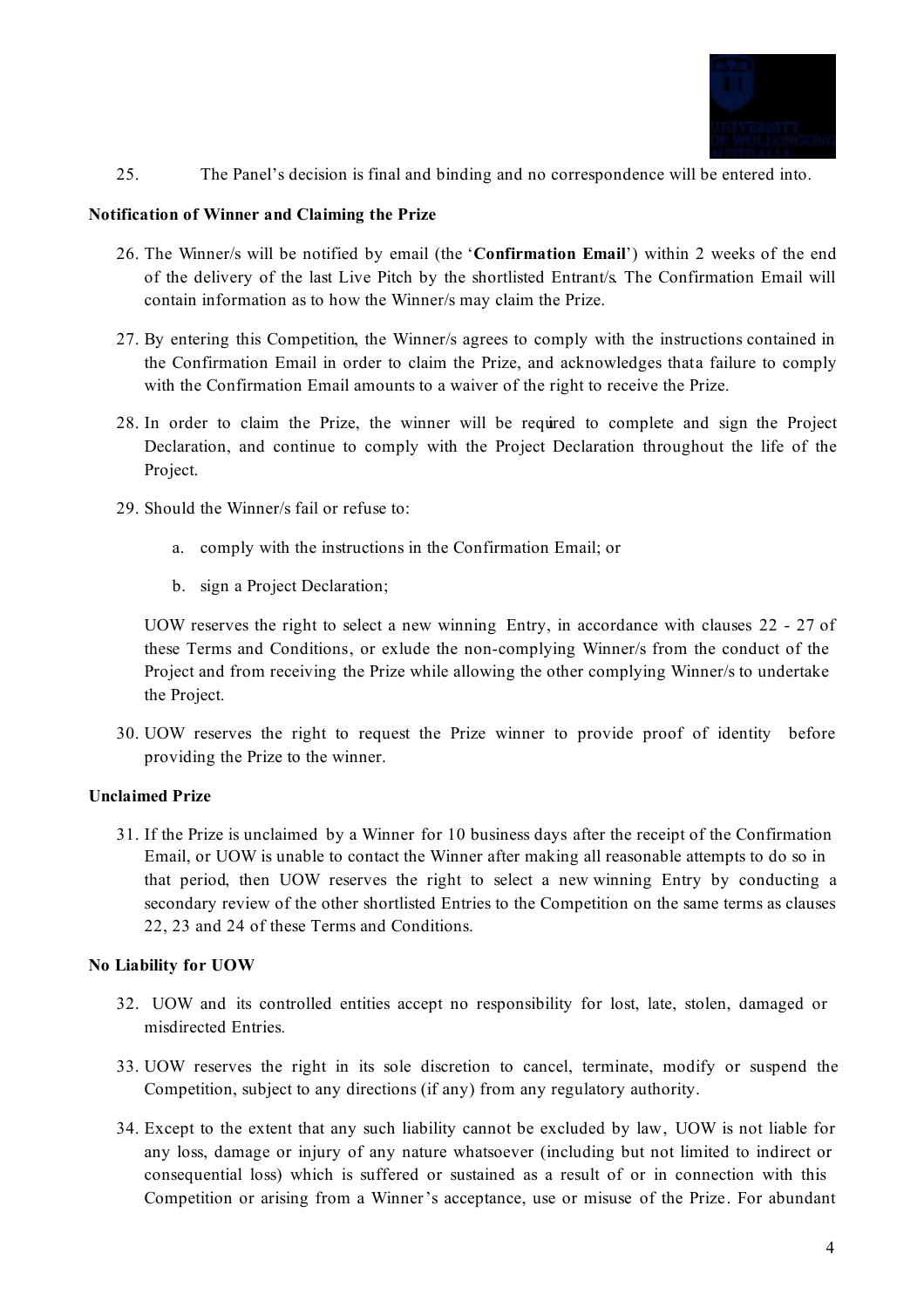

25. The Panel's decision is final and binding and no correspondence will be entered into.

#### **Notification of Winner and Claiming the Prize**

- 26. The Winner/s will be notified by email (the '**Confirmation Email**') within 2 weeks of the end of the delivery of the last Live Pitch by the shortlisted Entrant/s. The Confirmation Email will contain information as to how the Winner/s may claim the Prize.
- 27. By entering this Competition, the Winner/s agrees to comply with the instructions contained in the Confirmation Email in order to claim the Prize, and acknowledges thata failure to comply with the Confirmation Email amounts to a waiver of the right to receive the Prize.
- 28. In order to claim the Prize, the winner will be required to complete and sign the Project Declaration, and continue to comply with the Project Declaration throughout the life of the Project.
- 29. Should the Winner/s fail or refuse to:
	- a. comply with the instructions in the Confirmation Email; or
	- b. sign a Project Declaration;

UOW reserves the right to select a new winning Entry, in accordance with clauses 22 - 27 of these Terms and Conditions, or exlude the non-complying Winner/s from the conduct of the Project and from receiving the Prize while allowing the other complying Winner/s to undertake the Project.

30. UOW reserves the right to request the Prize winner to provide proof of identity before providing the Prize to the winner.

# **Unclaimed Prize**

31. If the Prize is unclaimed by a Winner for 10 business days after the receipt of the Confirmation Email, or UOW is unable to contact the Winner after making all reasonable attempts to do so in that period, then UOW reserves the right to select a new winning Entry by conducting a secondary review of the other shortlisted Entries to the Competition on the same terms as clauses 22, 23 and 24 of these Terms and Conditions.

# **No Liability for UOW**

- 32. UOW and its controlled entities accept no responsibility for lost, late, stolen, damaged or misdirected Entries.
- 33. UOW reserves the right in its sole discretion to cancel, terminate, modify or suspend the Competition, subject to any directions (if any) from any regulatory authority.
- 34. Except to the extent that any such liability cannot be excluded by law, UOW is not liable for any loss, damage or injury of any nature whatsoever (including but not limited to indirect or consequential loss) which is suffered or sustained as a result of or in connection with this Competition or arising from a Winner's acceptance, use or misuse of the Prize. For abundant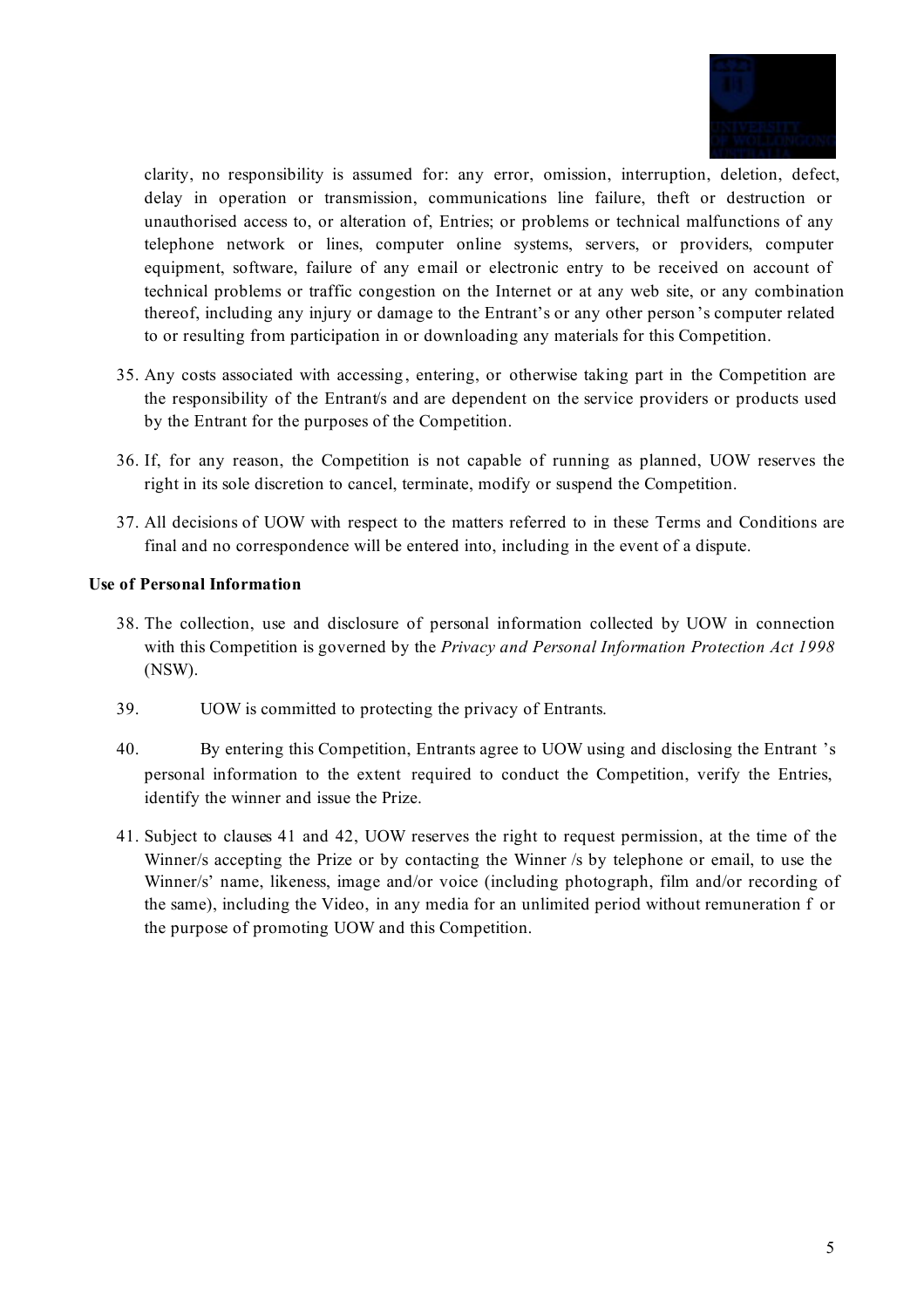

clarity, no responsibility is assumed for: any error, omission, interruption, deletion, defect, delay in operation or transmission, communications line failure, theft or destruction or unauthorised access to, or alteration of, Entries; or problems or technical malfunctions of any telephone network or lines, computer online systems, servers, or providers, computer equipment, software, failure of any email or electronic entry to be received on account of technical problems or traffic congestion on the Internet or at any web site, or any combination thereof, including any injury or damage to the Entrant's or any other person 's computer related to or resulting from participation in or downloading any materials for this Competition.

- 35. Any costs associated with accessing , entering, or otherwise taking part in the Competition are the responsibility of the Entrant/s and are dependent on the service providers or products used by the Entrant for the purposes of the Competition.
- 36. If, for any reason, the Competition is not capable of running as planned, UOW reserves the right in its sole discretion to cancel, terminate, modify or suspend the Competition.
- 37. All decisions of UOW with respect to the matters referred to in these Terms and Conditions are final and no correspondence will be entered into, including in the event of a dispute.

# **Use of Personal Information**

- 38. The collection, use and disclosure of personal information collected by UOW in connection with this Competition is governed by the *Privacy and Personal Information Protection Act 1998* (NSW).
- 39. UOW is committed to protecting the privacy of Entrants.
- 40. By entering this Competition, Entrants agree to UOW using and disclosing the Entrant 's personal information to the extent required to conduct the Competition, verify the Entries, identify the winner and issue the Prize.
- 41. Subject to clauses 41 and 42, UOW reserves the right to request permission, at the time of the Winner/s accepting the Prize or by contacting the Winner /s by telephone or email, to use the Winner/s' name, likeness, image and/or voice (including photograph, film and/or recording of the same), including the Video, in any media for an unlimited period without remuneration f or the purpose of promoting UOW and this Competition.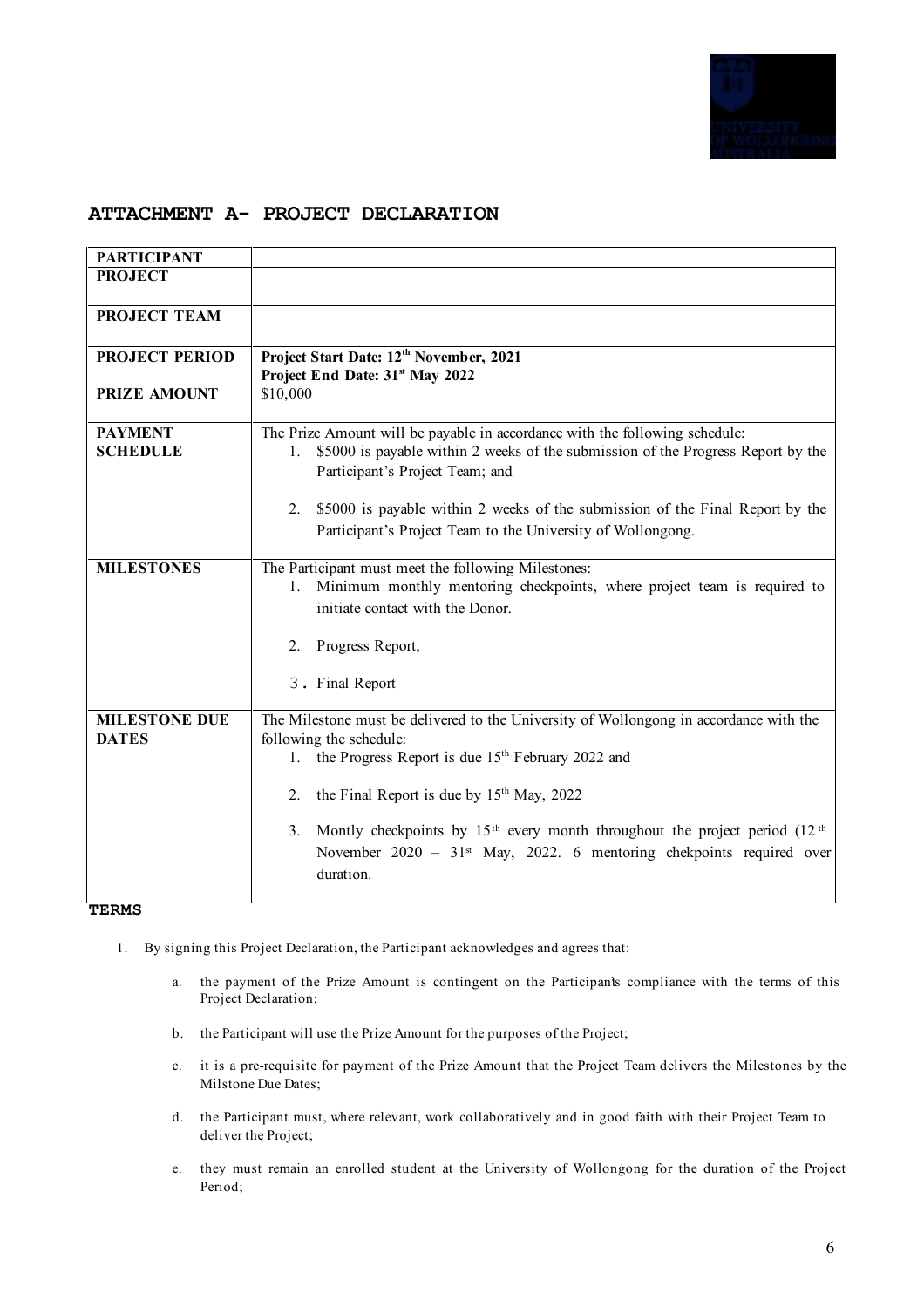

# **ATTACHMENT A- PROJECT DECLARATION**

| <b>PARTICIPANT</b>    |                                                                                                            |
|-----------------------|------------------------------------------------------------------------------------------------------------|
| <b>PROJECT</b>        |                                                                                                            |
|                       |                                                                                                            |
| PROJECT TEAM          |                                                                                                            |
| <b>PROJECT PERIOD</b> | Project Start Date: 12 <sup>th</sup> November, 2021                                                        |
|                       | Project End Date: 31 <sup>st</sup> May 2022                                                                |
| <b>PRIZE AMOUNT</b>   | \$10,000                                                                                                   |
| <b>PAYMENT</b>        | The Prize Amount will be payable in accordance with the following schedule:                                |
| <b>SCHEDULE</b>       | \$5000 is payable within 2 weeks of the submission of the Progress Report by the<br>$1_{-}$                |
|                       | Participant's Project Team; and                                                                            |
|                       | \$5000 is payable within 2 weeks of the submission of the Final Report by the<br>2.                        |
|                       | Participant's Project Team to the University of Wollongong.                                                |
|                       |                                                                                                            |
| <b>MILESTONES</b>     | The Participant must meet the following Milestones:                                                        |
|                       | Minimum monthly mentoring checkpoints, where project team is required to<br>1.                             |
|                       | initiate contact with the Donor.                                                                           |
|                       | Progress Report,<br>2.                                                                                     |
|                       | 3. Final Report                                                                                            |
|                       |                                                                                                            |
| <b>MILESTONE DUE</b>  | The Milestone must be delivered to the University of Wollongong in accordance with the                     |
| <b>DATES</b>          | following the schedule:                                                                                    |
|                       | the Progress Report is due 15 <sup>th</sup> February 2022 and<br>1.                                        |
|                       | the Final Report is due by 15 <sup>th</sup> May, 2022<br>2.                                                |
|                       | Montly checkpoints by 15 <sup>th</sup> every month throughout the project period (12 <sup>th</sup> )<br>3. |
|                       | November 2020 - 31 <sup>st</sup> May, 2022. 6 mentoring chekpoints required over                           |
|                       | duration.                                                                                                  |
|                       |                                                                                                            |

#### **TERMS**

- 1. By signing this Project Declaration, the Participant acknowledges and agrees that:
	- a. the payment of the Prize Amount is contingent on the Participan's compliance with the terms of this Project Declaration;
	- b. the Participant will use the Prize Amount for the purposes of the Project;
	- c. it is a pre-requisite for payment of the Prize Amount that the Project Team delivers the Milestones by the Milstone Due Dates;
	- d. the Participant must, where relevant, work collaboratively and in good faith with their Project Team to deliver the Project;
	- e. they must remain an enrolled student at the University of Wollongong for the duration of the Project Period;